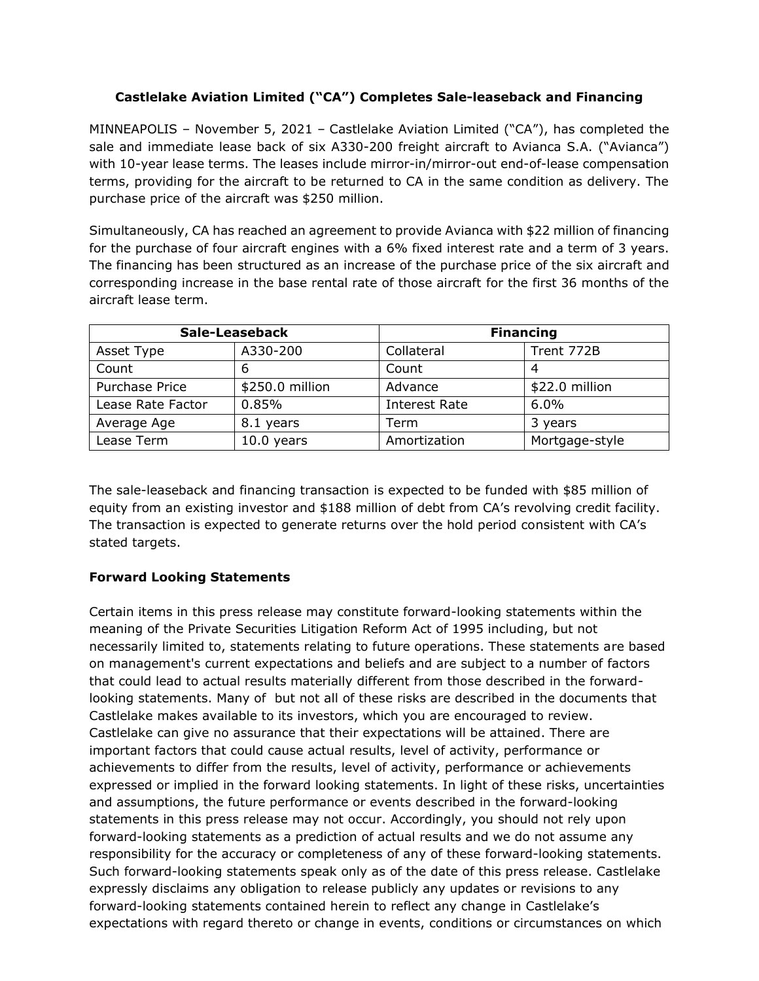## **Castlelake Aviation Limited ("CA") Completes Sale-leaseback and Financing**

MINNEAPOLIS – November 5, 2021 – Castlelake Aviation Limited ("CA"), has completed the sale and immediate lease back of six A330-200 freight aircraft to Avianca S.A. ("Avianca") with 10-year lease terms. The leases include mirror-in/mirror-out end-of-lease compensation terms, providing for the aircraft to be returned to CA in the same condition as delivery. The purchase price of the aircraft was \$250 million.

Simultaneously, CA has reached an agreement to provide Avianca with \$22 million of financing for the purchase of four aircraft engines with a 6% fixed interest rate and a term of 3 years. The financing has been structured as an increase of the purchase price of the six aircraft and corresponding increase in the base rental rate of those aircraft for the first 36 months of the aircraft lease term.

| Sale-Leaseback    |                 | <b>Financing</b>     |                |
|-------------------|-----------------|----------------------|----------------|
| Asset Type        | A330-200        | Collateral           | Trent 772B     |
| Count             | ь               | Count                | 4              |
| Purchase Price    | \$250.0 million | Advance              | \$22.0 million |
| Lease Rate Factor | 0.85%           | <b>Interest Rate</b> | $6.0\%$        |
| Average Age       | 8.1 years       | Term                 | 3 years        |
| Lease Term        | $10.0$ years    | Amortization         | Mortgage-style |

The sale-leaseback and financing transaction is expected to be funded with \$85 million of equity from an existing investor and \$188 million of debt from CA's revolving credit facility. The transaction is expected to generate returns over the hold period consistent with CA's stated targets.

## **Forward Looking Statements**

Certain items in this press release may constitute forward-looking statements within the meaning of the Private Securities Litigation Reform Act of 1995 including, but not necessarily limited to, statements relating to future operations. These statements are based on management's current expectations and beliefs and are subject to a number of factors that could lead to actual results materially different from those described in the forwardlooking statements. Many of but not all of these risks are described in the documents that Castlelake makes available to its investors, which you are encouraged to review. Castlelake can give no assurance that their expectations will be attained. There are important factors that could cause actual results, level of activity, performance or achievements to differ from the results, level of activity, performance or achievements expressed or implied in the forward looking statements. In light of these risks, uncertainties and assumptions, the future performance or events described in the forward-looking statements in this press release may not occur. Accordingly, you should not rely upon forward-looking statements as a prediction of actual results and we do not assume any responsibility for the accuracy or completeness of any of these forward-looking statements. Such forward-looking statements speak only as of the date of this press release. Castlelake expressly disclaims any obligation to release publicly any updates or revisions to any forward-looking statements contained herein to reflect any change in Castlelake's expectations with regard thereto or change in events, conditions or circumstances on which